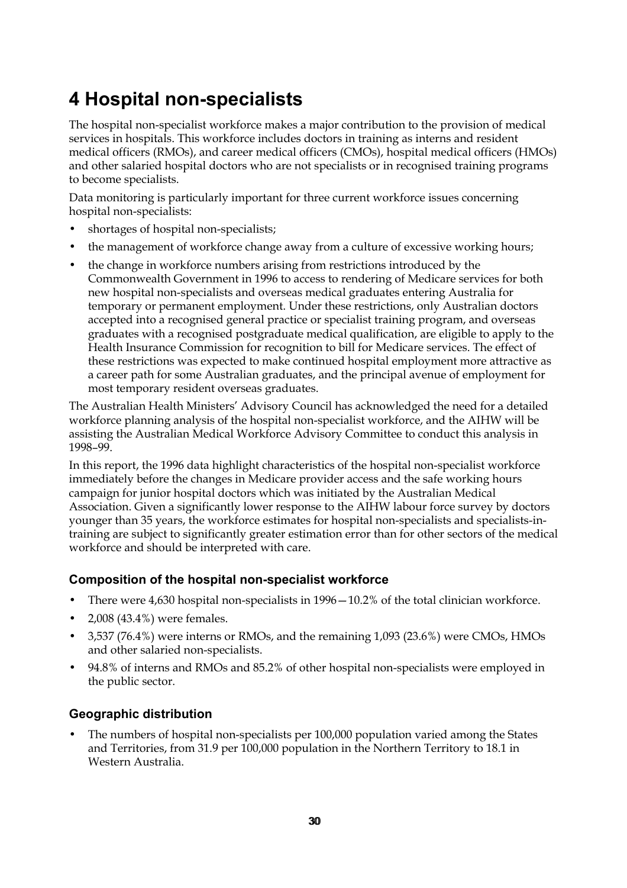# **4 Hospital non-specialists**

The hospital non-specialist workforce makes a major contribution to the provision of medical services in hospitals. This workforce includes doctors in training as interns and resident medical officers (RMOs), and career medical officers (CMOs), hospital medical officers (HMOs) and other salaried hospital doctors who are not specialists or in recognised training programs to become specialists.

Data monitoring is particularly important for three current workforce issues concerning hospital non-specialists:

- shortages of hospital non-specialists;
- the management of workforce change away from a culture of excessive working hours;
- the change in workforce numbers arising from restrictions introduced by the Commonwealth Government in 1996 to access to rendering of Medicare services for both new hospital non-specialists and overseas medical graduates entering Australia for temporary or permanent employment. Under these restrictions, only Australian doctors accepted into a recognised general practice or specialist training program, and overseas graduates with a recognised postgraduate medical qualification, are eligible to apply to the Health Insurance Commission for recognition to bill for Medicare services. The effect of these restrictions was expected to make continued hospital employment more attractive as a career path for some Australian graduates, and the principal avenue of employment for most temporary resident overseas graduates.

The Australian Health Ministers' Advisory Council has acknowledged the need for a detailed workforce planning analysis of the hospital non-specialist workforce, and the AIHW will be assisting the Australian Medical Workforce Advisory Committee to conduct this analysis in 1998–99.

In this report, the 1996 data highlight characteristics of the hospital non-specialist workforce immediately before the changes in Medicare provider access and the safe working hours campaign for junior hospital doctors which was initiated by the Australian Medical Association. Given a significantly lower response to the AIHW labour force survey by doctors younger than 35 years, the workforce estimates for hospital non-specialists and specialists-intraining are subject to significantly greater estimation error than for other sectors of the medical workforce and should be interpreted with care.

#### **Composition of the hospital non-specialist workforce**

- There were 4,630 hospital non-specialists in 1996—10.2% of the total clinician workforce.
- 2,008 (43.4%) were females.
- 3,537 (76.4%) were interns or RMOs, and the remaining 1,093 (23.6%) were CMOs, HMOs and other salaried non-specialists.
- 94.8% of interns and RMOs and 85.2% of other hospital non-specialists were employed in the public sector.

#### **Geographic distribution**

• The numbers of hospital non-specialists per 100,000 population varied among the States and Territories, from 31.9 per 100,000 population in the Northern Territory to 18.1 in Western Australia.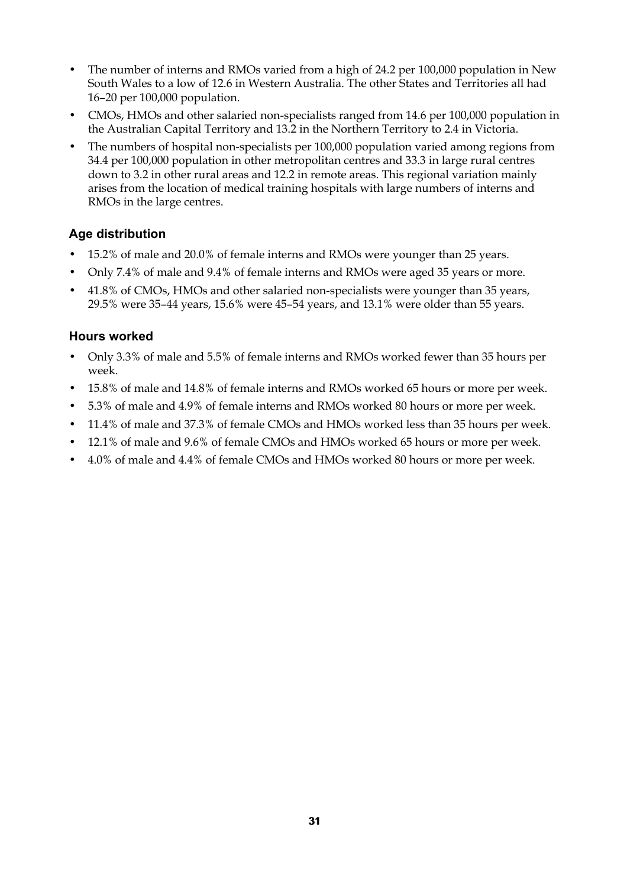- The number of interns and RMOs varied from a high of 24.2 per 100,000 population in New South Wales to a low of 12.6 in Western Australia. The other States and Territories all had 16–20 per 100,000 population.
- CMOs, HMOs and other salaried non-specialists ranged from 14.6 per 100,000 population in the Australian Capital Territory and 13.2 in the Northern Territory to 2.4 in Victoria.
- The numbers of hospital non-specialists per 100,000 population varied among regions from 34.4 per 100,000 population in other metropolitan centres and 33.3 in large rural centres down to 3.2 in other rural areas and 12.2 in remote areas. This regional variation mainly arises from the location of medical training hospitals with large numbers of interns and RMOs in the large centres.

## **Age distribution**

- 15.2% of male and 20.0% of female interns and RMOs were younger than 25 years.
- Only 7.4% of male and 9.4% of female interns and RMOs were aged 35 years or more.
- 41.8% of CMOs, HMOs and other salaried non-specialists were younger than 35 years, 29.5% were 35–44 years, 15.6% were 45–54 years, and 13.1% were older than 55 years.

### **Hours worked**

- Only 3.3% of male and 5.5% of female interns and RMOs worked fewer than 35 hours per week.
- 15.8% of male and 14.8% of female interns and RMOs worked 65 hours or more per week.
- 5.3% of male and 4.9% of female interns and RMOs worked 80 hours or more per week.
- 11.4% of male and 37.3% of female CMOs and HMOs worked less than 35 hours per week.
- 12.1% of male and 9.6% of female CMOs and HMOs worked 65 hours or more per week.
- 4.0% of male and 4.4% of female CMOs and HMOs worked 80 hours or more per week.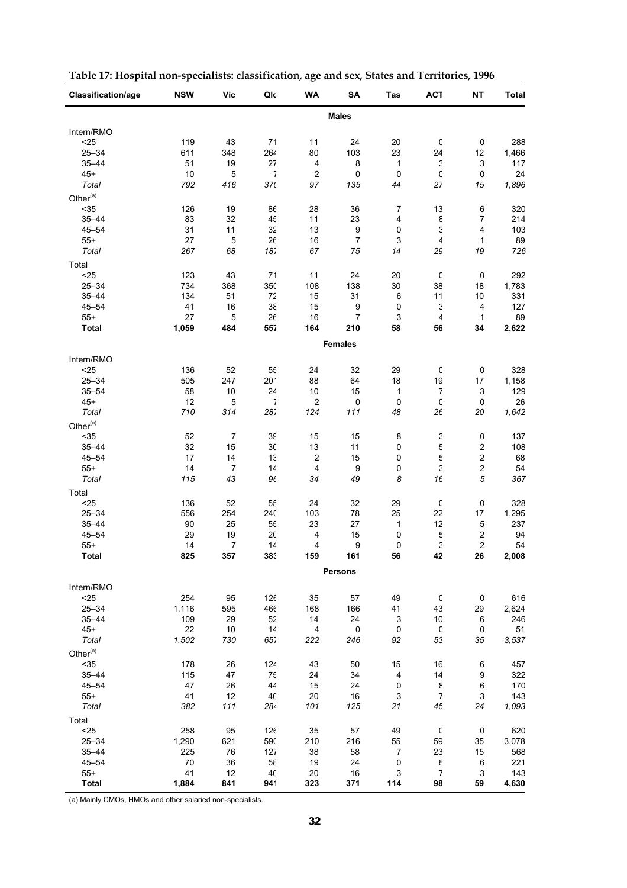| <b>Males</b><br>Intern/RMO<br>$25$<br>119<br>43<br>71<br>11<br>24<br>20<br>$\mathsf{C}$<br>$\mathbf 0$<br>288<br>$25 - 34$<br>611<br>264<br>80<br>103<br>23<br>24<br>12<br>348<br>1,466<br>27<br>З<br>$35 - 44$<br>51<br>19<br>4<br>8<br>3<br>117<br>1<br>$\bar{I}$<br>$\boldsymbol{2}$<br>$45+$<br>10<br>$\overline{5}$<br>$\mathsf 0$<br>$\pmb{0}$<br>$\mathsf{C}$<br>$\pmb{0}$<br>24<br>Total<br>792<br>370<br>44<br>27<br>1,896<br>416<br>97<br>135<br>15<br>Other <sup>(a)</sup><br>$35$<br>126<br>19<br>86<br>28<br>36<br>7<br>13<br>6<br>320<br>$35 - 44$<br>83<br>32<br>45<br>11<br>23<br>$\boldsymbol{\xi}$<br>$\overline{7}$<br>214<br>4<br>$\mathbb{S}$<br>$45 - 54$<br>31<br>11<br>32<br>13<br>9<br>$\pmb{0}$<br>4<br>103<br>$\boldsymbol{7}$<br>$55+$<br>5<br>26<br>16<br>$\sqrt{3}$<br>$\overline{4}$<br>89<br>27<br>1<br>Total<br>18 <sub>l</sub><br>67<br>75<br>14<br>19<br>726<br>267<br>68<br>29<br>Total<br>$25$<br>123<br>$\mathsf C$<br>43<br>71<br>11<br>24<br>20<br>$\mathbf 0$<br>292<br>$25 - 34$<br>734<br>350<br>108<br>$30\,$<br>38<br>368<br>138<br>18<br>1,783<br>$35 - 44$<br>134<br>72<br>15<br>31<br>$10$<br>331<br>51<br>6<br>11<br>41<br>16<br>38<br>15<br>$\boldsymbol{9}$<br>Э<br>$45 - 54$<br>$\mathbf 0$<br>$\overline{4}$<br>127<br>$55+$<br>27<br>$\mathbf 5$<br>26<br>16<br>3<br>$\overline{4}$<br>1<br>89<br>7<br><b>Total</b><br>1,059<br>164<br>210<br>58<br>2,622<br>484<br>557<br>56<br>34<br><b>Females</b><br>Intern/RMO<br>29<br>< 25<br>136<br>52<br>55<br>24<br>32<br>$\mathsf{C}$<br>$\mathbf 0$<br>328<br>$25 - 34$<br>505<br>201<br>88<br>19<br>247<br>64<br>18<br>17<br>1,158<br>$35 - 54$<br>58<br>$10$<br>24<br>$10$<br>15<br>129<br>1<br>7<br>3<br>$45+$<br>12<br>$\mathbf 5$<br>7<br>$\overline{c}$<br>$\pmb{0}$<br>$\mathsf C$<br>$\mathbf 0$<br>0<br>26<br>710<br>314<br>287<br>124<br>111<br>26<br>20<br>1,642<br>Total<br>48<br>Other <sup>(a)</sup><br>$\mathbb{S}$<br>39<br>$35$<br>52<br>7<br>15<br>15<br>8<br>0<br>137<br>$\mathfrak{t}$<br>$35 - 44$<br>32<br>15<br>$3\mathrm{C}$<br>13<br>11<br>$\boldsymbol{2}$<br>108<br>0<br>$45 - 54$<br>17<br>14<br>13<br>$\overline{\mathbf{c}}$<br>15<br>ŧ<br>$\boldsymbol{2}$<br>68<br>$\mathbf 0$<br>$\mathbb{S}$<br>$55+$<br>14<br>9<br>$\overline{\mathbf{c}}$<br>7<br>14<br>4<br>$\mathbf 0$<br>54<br>$1\epsilon$<br>Total<br>115<br>43<br>96<br>49<br>8<br>5<br>34<br>367<br>Total<br>$25$<br>$\mathsf C$<br>136<br>52<br>55<br>24<br>32<br>29<br>0<br>328<br>$25 - 34$<br>254<br>25<br>22<br>1,295<br>556<br>240<br>103<br>78<br>17<br>$35 - 44$<br>90<br>25<br>55<br>23<br>27<br>12<br>237<br>1<br>5<br>$45 - 54$<br>29<br>19<br>2C<br>ť<br>$\boldsymbol{2}$<br>4<br>15<br>0<br>94<br>ć<br>$55+$<br>$\overline{7}$<br>14<br>9<br>$\overline{\mathbf{c}}$<br>14<br>4<br>0<br>54<br>825<br>383<br>161<br>56<br>42<br>26<br>2,008<br><b>Total</b><br>357<br>159<br><b>Persons</b><br>Intern/RMO<br>254<br>126<br>$\mathsf C$<br>616<br>$25$<br>95<br>35<br>57<br>49<br>0<br>466<br>43<br>29<br>2,624<br>$25 - 34$<br>1,116<br>595<br>168<br>166<br>41<br>109<br>29<br>52<br>14<br>24<br>10<br>246<br>$35 - 44$<br>3<br>6<br>$45+$<br>22<br>10<br>14<br>$\overline{\mathbf{4}}$<br>$\pmb{0}$<br>$\mathsf C$<br>51<br>$\mathbf 0$<br>0<br>1,502<br>730<br>222<br>92<br>53<br>35<br>3,537<br>Total<br>657<br>246<br>Other <sup>(a)</sup><br>$35$<br>178<br>26<br>124<br>43<br>50<br>15<br>16<br>6<br>457<br>115<br>75<br>24<br>34<br>14<br>322<br>$35 - 44$<br>47<br>$\overline{\mathbf{4}}$<br>9<br>47<br>26<br>44<br>ε<br>170<br>$45 - 54$<br>15<br>24<br>$\mathbf 0$<br>6<br>12<br>$\overline{1}$<br>$55+$<br>41<br>$40$<br>20<br>16<br>$\ensuremath{\mathsf{3}}$<br>3<br>143<br>Total<br>382<br>111<br>284<br>101<br>125<br>21<br>45<br>1,093<br>24<br>Total<br>$25$<br>95<br>126<br>35<br>49<br>$\mathsf C$<br>258<br>57<br>0<br>620<br>1,290<br>590<br>216<br>$25 - 34$<br>621<br>210<br>55<br>59<br>35<br>3,078<br>225<br>76<br>127<br>38<br>23<br>$35 - 44$<br>58<br>$\overline{7}$<br>15<br>568<br>ξ<br>$45 - 54$<br>70<br>36<br>58<br>19<br>24<br>$\pmb{0}$<br>6<br>221<br>$55+$<br>41<br>12<br>$40$<br>3<br>3<br>143<br>20<br>16<br>7<br><b>Total</b><br>1,884<br>98<br>4,630<br>841<br>941<br>323<br>371<br>114<br>59 | Classification/age | <b>NSW</b> | Vic | Qlc | <b>WA</b> | <b>SA</b> | Tas | AC <sub>1</sub> | ΝT | <b>Total</b> |
|--------------------------------------------------------------------------------------------------------------------------------------------------------------------------------------------------------------------------------------------------------------------------------------------------------------------------------------------------------------------------------------------------------------------------------------------------------------------------------------------------------------------------------------------------------------------------------------------------------------------------------------------------------------------------------------------------------------------------------------------------------------------------------------------------------------------------------------------------------------------------------------------------------------------------------------------------------------------------------------------------------------------------------------------------------------------------------------------------------------------------------------------------------------------------------------------------------------------------------------------------------------------------------------------------------------------------------------------------------------------------------------------------------------------------------------------------------------------------------------------------------------------------------------------------------------------------------------------------------------------------------------------------------------------------------------------------------------------------------------------------------------------------------------------------------------------------------------------------------------------------------------------------------------------------------------------------------------------------------------------------------------------------------------------------------------------------------------------------------------------------------------------------------------------------------------------------------------------------------------------------------------------------------------------------------------------------------------------------------------------------------------------------------------------------------------------------------------------------------------------------------------------------------------------------------------------------------------------------------------------------------------------------------------------------------------------------------------------------------------------------------------------------------------------------------------------------------------------------------------------------------------------------------------------------------------------------------------------------------------------------------------------------------------------------------------------------------------------------------------------------------------------------------------------------------------------------------------------------------------------------------------------------------------------------------------------------------------------------------------------------------------------------------------------------------------------------------------------------------------------------------------------------------------------------------------------------------------------------------------------------------------------------------------------------------------------------------------------------------------------------------------------------------------------------------------------------------------------------------------------------------------------------------------------------------------------------------------------------------------------------------------------------------------------------------------------------------------------------------------------------------------------------------------------------------------------------------------------------------------------------|--------------------|------------|-----|-----|-----------|-----------|-----|-----------------|----|--------------|
|                                                                                                                                                                                                                                                                                                                                                                                                                                                                                                                                                                                                                                                                                                                                                                                                                                                                                                                                                                                                                                                                                                                                                                                                                                                                                                                                                                                                                                                                                                                                                                                                                                                                                                                                                                                                                                                                                                                                                                                                                                                                                                                                                                                                                                                                                                                                                                                                                                                                                                                                                                                                                                                                                                                                                                                                                                                                                                                                                                                                                                                                                                                                                                                                                                                                                                                                                                                                                                                                                                                                                                                                                                                                                                                                                                                                                                                                                                                                                                                                                                                                                                                                                                                                                                                  |                    |            |     |     |           |           |     |                 |    |              |
|                                                                                                                                                                                                                                                                                                                                                                                                                                                                                                                                                                                                                                                                                                                                                                                                                                                                                                                                                                                                                                                                                                                                                                                                                                                                                                                                                                                                                                                                                                                                                                                                                                                                                                                                                                                                                                                                                                                                                                                                                                                                                                                                                                                                                                                                                                                                                                                                                                                                                                                                                                                                                                                                                                                                                                                                                                                                                                                                                                                                                                                                                                                                                                                                                                                                                                                                                                                                                                                                                                                                                                                                                                                                                                                                                                                                                                                                                                                                                                                                                                                                                                                                                                                                                                                  |                    |            |     |     |           |           |     |                 |    |              |
|                                                                                                                                                                                                                                                                                                                                                                                                                                                                                                                                                                                                                                                                                                                                                                                                                                                                                                                                                                                                                                                                                                                                                                                                                                                                                                                                                                                                                                                                                                                                                                                                                                                                                                                                                                                                                                                                                                                                                                                                                                                                                                                                                                                                                                                                                                                                                                                                                                                                                                                                                                                                                                                                                                                                                                                                                                                                                                                                                                                                                                                                                                                                                                                                                                                                                                                                                                                                                                                                                                                                                                                                                                                                                                                                                                                                                                                                                                                                                                                                                                                                                                                                                                                                                                                  |                    |            |     |     |           |           |     |                 |    |              |
|                                                                                                                                                                                                                                                                                                                                                                                                                                                                                                                                                                                                                                                                                                                                                                                                                                                                                                                                                                                                                                                                                                                                                                                                                                                                                                                                                                                                                                                                                                                                                                                                                                                                                                                                                                                                                                                                                                                                                                                                                                                                                                                                                                                                                                                                                                                                                                                                                                                                                                                                                                                                                                                                                                                                                                                                                                                                                                                                                                                                                                                                                                                                                                                                                                                                                                                                                                                                                                                                                                                                                                                                                                                                                                                                                                                                                                                                                                                                                                                                                                                                                                                                                                                                                                                  |                    |            |     |     |           |           |     |                 |    |              |
|                                                                                                                                                                                                                                                                                                                                                                                                                                                                                                                                                                                                                                                                                                                                                                                                                                                                                                                                                                                                                                                                                                                                                                                                                                                                                                                                                                                                                                                                                                                                                                                                                                                                                                                                                                                                                                                                                                                                                                                                                                                                                                                                                                                                                                                                                                                                                                                                                                                                                                                                                                                                                                                                                                                                                                                                                                                                                                                                                                                                                                                                                                                                                                                                                                                                                                                                                                                                                                                                                                                                                                                                                                                                                                                                                                                                                                                                                                                                                                                                                                                                                                                                                                                                                                                  |                    |            |     |     |           |           |     |                 |    |              |
|                                                                                                                                                                                                                                                                                                                                                                                                                                                                                                                                                                                                                                                                                                                                                                                                                                                                                                                                                                                                                                                                                                                                                                                                                                                                                                                                                                                                                                                                                                                                                                                                                                                                                                                                                                                                                                                                                                                                                                                                                                                                                                                                                                                                                                                                                                                                                                                                                                                                                                                                                                                                                                                                                                                                                                                                                                                                                                                                                                                                                                                                                                                                                                                                                                                                                                                                                                                                                                                                                                                                                                                                                                                                                                                                                                                                                                                                                                                                                                                                                                                                                                                                                                                                                                                  |                    |            |     |     |           |           |     |                 |    |              |
|                                                                                                                                                                                                                                                                                                                                                                                                                                                                                                                                                                                                                                                                                                                                                                                                                                                                                                                                                                                                                                                                                                                                                                                                                                                                                                                                                                                                                                                                                                                                                                                                                                                                                                                                                                                                                                                                                                                                                                                                                                                                                                                                                                                                                                                                                                                                                                                                                                                                                                                                                                                                                                                                                                                                                                                                                                                                                                                                                                                                                                                                                                                                                                                                                                                                                                                                                                                                                                                                                                                                                                                                                                                                                                                                                                                                                                                                                                                                                                                                                                                                                                                                                                                                                                                  |                    |            |     |     |           |           |     |                 |    |              |
|                                                                                                                                                                                                                                                                                                                                                                                                                                                                                                                                                                                                                                                                                                                                                                                                                                                                                                                                                                                                                                                                                                                                                                                                                                                                                                                                                                                                                                                                                                                                                                                                                                                                                                                                                                                                                                                                                                                                                                                                                                                                                                                                                                                                                                                                                                                                                                                                                                                                                                                                                                                                                                                                                                                                                                                                                                                                                                                                                                                                                                                                                                                                                                                                                                                                                                                                                                                                                                                                                                                                                                                                                                                                                                                                                                                                                                                                                                                                                                                                                                                                                                                                                                                                                                                  |                    |            |     |     |           |           |     |                 |    |              |
|                                                                                                                                                                                                                                                                                                                                                                                                                                                                                                                                                                                                                                                                                                                                                                                                                                                                                                                                                                                                                                                                                                                                                                                                                                                                                                                                                                                                                                                                                                                                                                                                                                                                                                                                                                                                                                                                                                                                                                                                                                                                                                                                                                                                                                                                                                                                                                                                                                                                                                                                                                                                                                                                                                                                                                                                                                                                                                                                                                                                                                                                                                                                                                                                                                                                                                                                                                                                                                                                                                                                                                                                                                                                                                                                                                                                                                                                                                                                                                                                                                                                                                                                                                                                                                                  |                    |            |     |     |           |           |     |                 |    |              |
|                                                                                                                                                                                                                                                                                                                                                                                                                                                                                                                                                                                                                                                                                                                                                                                                                                                                                                                                                                                                                                                                                                                                                                                                                                                                                                                                                                                                                                                                                                                                                                                                                                                                                                                                                                                                                                                                                                                                                                                                                                                                                                                                                                                                                                                                                                                                                                                                                                                                                                                                                                                                                                                                                                                                                                                                                                                                                                                                                                                                                                                                                                                                                                                                                                                                                                                                                                                                                                                                                                                                                                                                                                                                                                                                                                                                                                                                                                                                                                                                                                                                                                                                                                                                                                                  |                    |            |     |     |           |           |     |                 |    |              |
|                                                                                                                                                                                                                                                                                                                                                                                                                                                                                                                                                                                                                                                                                                                                                                                                                                                                                                                                                                                                                                                                                                                                                                                                                                                                                                                                                                                                                                                                                                                                                                                                                                                                                                                                                                                                                                                                                                                                                                                                                                                                                                                                                                                                                                                                                                                                                                                                                                                                                                                                                                                                                                                                                                                                                                                                                                                                                                                                                                                                                                                                                                                                                                                                                                                                                                                                                                                                                                                                                                                                                                                                                                                                                                                                                                                                                                                                                                                                                                                                                                                                                                                                                                                                                                                  |                    |            |     |     |           |           |     |                 |    |              |
|                                                                                                                                                                                                                                                                                                                                                                                                                                                                                                                                                                                                                                                                                                                                                                                                                                                                                                                                                                                                                                                                                                                                                                                                                                                                                                                                                                                                                                                                                                                                                                                                                                                                                                                                                                                                                                                                                                                                                                                                                                                                                                                                                                                                                                                                                                                                                                                                                                                                                                                                                                                                                                                                                                                                                                                                                                                                                                                                                                                                                                                                                                                                                                                                                                                                                                                                                                                                                                                                                                                                                                                                                                                                                                                                                                                                                                                                                                                                                                                                                                                                                                                                                                                                                                                  |                    |            |     |     |           |           |     |                 |    |              |
|                                                                                                                                                                                                                                                                                                                                                                                                                                                                                                                                                                                                                                                                                                                                                                                                                                                                                                                                                                                                                                                                                                                                                                                                                                                                                                                                                                                                                                                                                                                                                                                                                                                                                                                                                                                                                                                                                                                                                                                                                                                                                                                                                                                                                                                                                                                                                                                                                                                                                                                                                                                                                                                                                                                                                                                                                                                                                                                                                                                                                                                                                                                                                                                                                                                                                                                                                                                                                                                                                                                                                                                                                                                                                                                                                                                                                                                                                                                                                                                                                                                                                                                                                                                                                                                  |                    |            |     |     |           |           |     |                 |    |              |
|                                                                                                                                                                                                                                                                                                                                                                                                                                                                                                                                                                                                                                                                                                                                                                                                                                                                                                                                                                                                                                                                                                                                                                                                                                                                                                                                                                                                                                                                                                                                                                                                                                                                                                                                                                                                                                                                                                                                                                                                                                                                                                                                                                                                                                                                                                                                                                                                                                                                                                                                                                                                                                                                                                                                                                                                                                                                                                                                                                                                                                                                                                                                                                                                                                                                                                                                                                                                                                                                                                                                                                                                                                                                                                                                                                                                                                                                                                                                                                                                                                                                                                                                                                                                                                                  |                    |            |     |     |           |           |     |                 |    |              |
|                                                                                                                                                                                                                                                                                                                                                                                                                                                                                                                                                                                                                                                                                                                                                                                                                                                                                                                                                                                                                                                                                                                                                                                                                                                                                                                                                                                                                                                                                                                                                                                                                                                                                                                                                                                                                                                                                                                                                                                                                                                                                                                                                                                                                                                                                                                                                                                                                                                                                                                                                                                                                                                                                                                                                                                                                                                                                                                                                                                                                                                                                                                                                                                                                                                                                                                                                                                                                                                                                                                                                                                                                                                                                                                                                                                                                                                                                                                                                                                                                                                                                                                                                                                                                                                  |                    |            |     |     |           |           |     |                 |    |              |
|                                                                                                                                                                                                                                                                                                                                                                                                                                                                                                                                                                                                                                                                                                                                                                                                                                                                                                                                                                                                                                                                                                                                                                                                                                                                                                                                                                                                                                                                                                                                                                                                                                                                                                                                                                                                                                                                                                                                                                                                                                                                                                                                                                                                                                                                                                                                                                                                                                                                                                                                                                                                                                                                                                                                                                                                                                                                                                                                                                                                                                                                                                                                                                                                                                                                                                                                                                                                                                                                                                                                                                                                                                                                                                                                                                                                                                                                                                                                                                                                                                                                                                                                                                                                                                                  |                    |            |     |     |           |           |     |                 |    |              |
|                                                                                                                                                                                                                                                                                                                                                                                                                                                                                                                                                                                                                                                                                                                                                                                                                                                                                                                                                                                                                                                                                                                                                                                                                                                                                                                                                                                                                                                                                                                                                                                                                                                                                                                                                                                                                                                                                                                                                                                                                                                                                                                                                                                                                                                                                                                                                                                                                                                                                                                                                                                                                                                                                                                                                                                                                                                                                                                                                                                                                                                                                                                                                                                                                                                                                                                                                                                                                                                                                                                                                                                                                                                                                                                                                                                                                                                                                                                                                                                                                                                                                                                                                                                                                                                  |                    |            |     |     |           |           |     |                 |    |              |
|                                                                                                                                                                                                                                                                                                                                                                                                                                                                                                                                                                                                                                                                                                                                                                                                                                                                                                                                                                                                                                                                                                                                                                                                                                                                                                                                                                                                                                                                                                                                                                                                                                                                                                                                                                                                                                                                                                                                                                                                                                                                                                                                                                                                                                                                                                                                                                                                                                                                                                                                                                                                                                                                                                                                                                                                                                                                                                                                                                                                                                                                                                                                                                                                                                                                                                                                                                                                                                                                                                                                                                                                                                                                                                                                                                                                                                                                                                                                                                                                                                                                                                                                                                                                                                                  |                    |            |     |     |           |           |     |                 |    |              |
|                                                                                                                                                                                                                                                                                                                                                                                                                                                                                                                                                                                                                                                                                                                                                                                                                                                                                                                                                                                                                                                                                                                                                                                                                                                                                                                                                                                                                                                                                                                                                                                                                                                                                                                                                                                                                                                                                                                                                                                                                                                                                                                                                                                                                                                                                                                                                                                                                                                                                                                                                                                                                                                                                                                                                                                                                                                                                                                                                                                                                                                                                                                                                                                                                                                                                                                                                                                                                                                                                                                                                                                                                                                                                                                                                                                                                                                                                                                                                                                                                                                                                                                                                                                                                                                  |                    |            |     |     |           |           |     |                 |    |              |
|                                                                                                                                                                                                                                                                                                                                                                                                                                                                                                                                                                                                                                                                                                                                                                                                                                                                                                                                                                                                                                                                                                                                                                                                                                                                                                                                                                                                                                                                                                                                                                                                                                                                                                                                                                                                                                                                                                                                                                                                                                                                                                                                                                                                                                                                                                                                                                                                                                                                                                                                                                                                                                                                                                                                                                                                                                                                                                                                                                                                                                                                                                                                                                                                                                                                                                                                                                                                                                                                                                                                                                                                                                                                                                                                                                                                                                                                                                                                                                                                                                                                                                                                                                                                                                                  |                    |            |     |     |           |           |     |                 |    |              |
|                                                                                                                                                                                                                                                                                                                                                                                                                                                                                                                                                                                                                                                                                                                                                                                                                                                                                                                                                                                                                                                                                                                                                                                                                                                                                                                                                                                                                                                                                                                                                                                                                                                                                                                                                                                                                                                                                                                                                                                                                                                                                                                                                                                                                                                                                                                                                                                                                                                                                                                                                                                                                                                                                                                                                                                                                                                                                                                                                                                                                                                                                                                                                                                                                                                                                                                                                                                                                                                                                                                                                                                                                                                                                                                                                                                                                                                                                                                                                                                                                                                                                                                                                                                                                                                  |                    |            |     |     |           |           |     |                 |    |              |
|                                                                                                                                                                                                                                                                                                                                                                                                                                                                                                                                                                                                                                                                                                                                                                                                                                                                                                                                                                                                                                                                                                                                                                                                                                                                                                                                                                                                                                                                                                                                                                                                                                                                                                                                                                                                                                                                                                                                                                                                                                                                                                                                                                                                                                                                                                                                                                                                                                                                                                                                                                                                                                                                                                                                                                                                                                                                                                                                                                                                                                                                                                                                                                                                                                                                                                                                                                                                                                                                                                                                                                                                                                                                                                                                                                                                                                                                                                                                                                                                                                                                                                                                                                                                                                                  |                    |            |     |     |           |           |     |                 |    |              |
|                                                                                                                                                                                                                                                                                                                                                                                                                                                                                                                                                                                                                                                                                                                                                                                                                                                                                                                                                                                                                                                                                                                                                                                                                                                                                                                                                                                                                                                                                                                                                                                                                                                                                                                                                                                                                                                                                                                                                                                                                                                                                                                                                                                                                                                                                                                                                                                                                                                                                                                                                                                                                                                                                                                                                                                                                                                                                                                                                                                                                                                                                                                                                                                                                                                                                                                                                                                                                                                                                                                                                                                                                                                                                                                                                                                                                                                                                                                                                                                                                                                                                                                                                                                                                                                  |                    |            |     |     |           |           |     |                 |    |              |
|                                                                                                                                                                                                                                                                                                                                                                                                                                                                                                                                                                                                                                                                                                                                                                                                                                                                                                                                                                                                                                                                                                                                                                                                                                                                                                                                                                                                                                                                                                                                                                                                                                                                                                                                                                                                                                                                                                                                                                                                                                                                                                                                                                                                                                                                                                                                                                                                                                                                                                                                                                                                                                                                                                                                                                                                                                                                                                                                                                                                                                                                                                                                                                                                                                                                                                                                                                                                                                                                                                                                                                                                                                                                                                                                                                                                                                                                                                                                                                                                                                                                                                                                                                                                                                                  |                    |            |     |     |           |           |     |                 |    |              |
|                                                                                                                                                                                                                                                                                                                                                                                                                                                                                                                                                                                                                                                                                                                                                                                                                                                                                                                                                                                                                                                                                                                                                                                                                                                                                                                                                                                                                                                                                                                                                                                                                                                                                                                                                                                                                                                                                                                                                                                                                                                                                                                                                                                                                                                                                                                                                                                                                                                                                                                                                                                                                                                                                                                                                                                                                                                                                                                                                                                                                                                                                                                                                                                                                                                                                                                                                                                                                                                                                                                                                                                                                                                                                                                                                                                                                                                                                                                                                                                                                                                                                                                                                                                                                                                  |                    |            |     |     |           |           |     |                 |    |              |
|                                                                                                                                                                                                                                                                                                                                                                                                                                                                                                                                                                                                                                                                                                                                                                                                                                                                                                                                                                                                                                                                                                                                                                                                                                                                                                                                                                                                                                                                                                                                                                                                                                                                                                                                                                                                                                                                                                                                                                                                                                                                                                                                                                                                                                                                                                                                                                                                                                                                                                                                                                                                                                                                                                                                                                                                                                                                                                                                                                                                                                                                                                                                                                                                                                                                                                                                                                                                                                                                                                                                                                                                                                                                                                                                                                                                                                                                                                                                                                                                                                                                                                                                                                                                                                                  |                    |            |     |     |           |           |     |                 |    |              |
|                                                                                                                                                                                                                                                                                                                                                                                                                                                                                                                                                                                                                                                                                                                                                                                                                                                                                                                                                                                                                                                                                                                                                                                                                                                                                                                                                                                                                                                                                                                                                                                                                                                                                                                                                                                                                                                                                                                                                                                                                                                                                                                                                                                                                                                                                                                                                                                                                                                                                                                                                                                                                                                                                                                                                                                                                                                                                                                                                                                                                                                                                                                                                                                                                                                                                                                                                                                                                                                                                                                                                                                                                                                                                                                                                                                                                                                                                                                                                                                                                                                                                                                                                                                                                                                  |                    |            |     |     |           |           |     |                 |    |              |
|                                                                                                                                                                                                                                                                                                                                                                                                                                                                                                                                                                                                                                                                                                                                                                                                                                                                                                                                                                                                                                                                                                                                                                                                                                                                                                                                                                                                                                                                                                                                                                                                                                                                                                                                                                                                                                                                                                                                                                                                                                                                                                                                                                                                                                                                                                                                                                                                                                                                                                                                                                                                                                                                                                                                                                                                                                                                                                                                                                                                                                                                                                                                                                                                                                                                                                                                                                                                                                                                                                                                                                                                                                                                                                                                                                                                                                                                                                                                                                                                                                                                                                                                                                                                                                                  |                    |            |     |     |           |           |     |                 |    |              |
|                                                                                                                                                                                                                                                                                                                                                                                                                                                                                                                                                                                                                                                                                                                                                                                                                                                                                                                                                                                                                                                                                                                                                                                                                                                                                                                                                                                                                                                                                                                                                                                                                                                                                                                                                                                                                                                                                                                                                                                                                                                                                                                                                                                                                                                                                                                                                                                                                                                                                                                                                                                                                                                                                                                                                                                                                                                                                                                                                                                                                                                                                                                                                                                                                                                                                                                                                                                                                                                                                                                                                                                                                                                                                                                                                                                                                                                                                                                                                                                                                                                                                                                                                                                                                                                  |                    |            |     |     |           |           |     |                 |    |              |
|                                                                                                                                                                                                                                                                                                                                                                                                                                                                                                                                                                                                                                                                                                                                                                                                                                                                                                                                                                                                                                                                                                                                                                                                                                                                                                                                                                                                                                                                                                                                                                                                                                                                                                                                                                                                                                                                                                                                                                                                                                                                                                                                                                                                                                                                                                                                                                                                                                                                                                                                                                                                                                                                                                                                                                                                                                                                                                                                                                                                                                                                                                                                                                                                                                                                                                                                                                                                                                                                                                                                                                                                                                                                                                                                                                                                                                                                                                                                                                                                                                                                                                                                                                                                                                                  |                    |            |     |     |           |           |     |                 |    |              |
|                                                                                                                                                                                                                                                                                                                                                                                                                                                                                                                                                                                                                                                                                                                                                                                                                                                                                                                                                                                                                                                                                                                                                                                                                                                                                                                                                                                                                                                                                                                                                                                                                                                                                                                                                                                                                                                                                                                                                                                                                                                                                                                                                                                                                                                                                                                                                                                                                                                                                                                                                                                                                                                                                                                                                                                                                                                                                                                                                                                                                                                                                                                                                                                                                                                                                                                                                                                                                                                                                                                                                                                                                                                                                                                                                                                                                                                                                                                                                                                                                                                                                                                                                                                                                                                  |                    |            |     |     |           |           |     |                 |    |              |
|                                                                                                                                                                                                                                                                                                                                                                                                                                                                                                                                                                                                                                                                                                                                                                                                                                                                                                                                                                                                                                                                                                                                                                                                                                                                                                                                                                                                                                                                                                                                                                                                                                                                                                                                                                                                                                                                                                                                                                                                                                                                                                                                                                                                                                                                                                                                                                                                                                                                                                                                                                                                                                                                                                                                                                                                                                                                                                                                                                                                                                                                                                                                                                                                                                                                                                                                                                                                                                                                                                                                                                                                                                                                                                                                                                                                                                                                                                                                                                                                                                                                                                                                                                                                                                                  |                    |            |     |     |           |           |     |                 |    |              |
|                                                                                                                                                                                                                                                                                                                                                                                                                                                                                                                                                                                                                                                                                                                                                                                                                                                                                                                                                                                                                                                                                                                                                                                                                                                                                                                                                                                                                                                                                                                                                                                                                                                                                                                                                                                                                                                                                                                                                                                                                                                                                                                                                                                                                                                                                                                                                                                                                                                                                                                                                                                                                                                                                                                                                                                                                                                                                                                                                                                                                                                                                                                                                                                                                                                                                                                                                                                                                                                                                                                                                                                                                                                                                                                                                                                                                                                                                                                                                                                                                                                                                                                                                                                                                                                  |                    |            |     |     |           |           |     |                 |    |              |
|                                                                                                                                                                                                                                                                                                                                                                                                                                                                                                                                                                                                                                                                                                                                                                                                                                                                                                                                                                                                                                                                                                                                                                                                                                                                                                                                                                                                                                                                                                                                                                                                                                                                                                                                                                                                                                                                                                                                                                                                                                                                                                                                                                                                                                                                                                                                                                                                                                                                                                                                                                                                                                                                                                                                                                                                                                                                                                                                                                                                                                                                                                                                                                                                                                                                                                                                                                                                                                                                                                                                                                                                                                                                                                                                                                                                                                                                                                                                                                                                                                                                                                                                                                                                                                                  |                    |            |     |     |           |           |     |                 |    |              |
|                                                                                                                                                                                                                                                                                                                                                                                                                                                                                                                                                                                                                                                                                                                                                                                                                                                                                                                                                                                                                                                                                                                                                                                                                                                                                                                                                                                                                                                                                                                                                                                                                                                                                                                                                                                                                                                                                                                                                                                                                                                                                                                                                                                                                                                                                                                                                                                                                                                                                                                                                                                                                                                                                                                                                                                                                                                                                                                                                                                                                                                                                                                                                                                                                                                                                                                                                                                                                                                                                                                                                                                                                                                                                                                                                                                                                                                                                                                                                                                                                                                                                                                                                                                                                                                  |                    |            |     |     |           |           |     |                 |    |              |
|                                                                                                                                                                                                                                                                                                                                                                                                                                                                                                                                                                                                                                                                                                                                                                                                                                                                                                                                                                                                                                                                                                                                                                                                                                                                                                                                                                                                                                                                                                                                                                                                                                                                                                                                                                                                                                                                                                                                                                                                                                                                                                                                                                                                                                                                                                                                                                                                                                                                                                                                                                                                                                                                                                                                                                                                                                                                                                                                                                                                                                                                                                                                                                                                                                                                                                                                                                                                                                                                                                                                                                                                                                                                                                                                                                                                                                                                                                                                                                                                                                                                                                                                                                                                                                                  |                    |            |     |     |           |           |     |                 |    |              |
|                                                                                                                                                                                                                                                                                                                                                                                                                                                                                                                                                                                                                                                                                                                                                                                                                                                                                                                                                                                                                                                                                                                                                                                                                                                                                                                                                                                                                                                                                                                                                                                                                                                                                                                                                                                                                                                                                                                                                                                                                                                                                                                                                                                                                                                                                                                                                                                                                                                                                                                                                                                                                                                                                                                                                                                                                                                                                                                                                                                                                                                                                                                                                                                                                                                                                                                                                                                                                                                                                                                                                                                                                                                                                                                                                                                                                                                                                                                                                                                                                                                                                                                                                                                                                                                  |                    |            |     |     |           |           |     |                 |    |              |
|                                                                                                                                                                                                                                                                                                                                                                                                                                                                                                                                                                                                                                                                                                                                                                                                                                                                                                                                                                                                                                                                                                                                                                                                                                                                                                                                                                                                                                                                                                                                                                                                                                                                                                                                                                                                                                                                                                                                                                                                                                                                                                                                                                                                                                                                                                                                                                                                                                                                                                                                                                                                                                                                                                                                                                                                                                                                                                                                                                                                                                                                                                                                                                                                                                                                                                                                                                                                                                                                                                                                                                                                                                                                                                                                                                                                                                                                                                                                                                                                                                                                                                                                                                                                                                                  |                    |            |     |     |           |           |     |                 |    |              |
|                                                                                                                                                                                                                                                                                                                                                                                                                                                                                                                                                                                                                                                                                                                                                                                                                                                                                                                                                                                                                                                                                                                                                                                                                                                                                                                                                                                                                                                                                                                                                                                                                                                                                                                                                                                                                                                                                                                                                                                                                                                                                                                                                                                                                                                                                                                                                                                                                                                                                                                                                                                                                                                                                                                                                                                                                                                                                                                                                                                                                                                                                                                                                                                                                                                                                                                                                                                                                                                                                                                                                                                                                                                                                                                                                                                                                                                                                                                                                                                                                                                                                                                                                                                                                                                  |                    |            |     |     |           |           |     |                 |    |              |
|                                                                                                                                                                                                                                                                                                                                                                                                                                                                                                                                                                                                                                                                                                                                                                                                                                                                                                                                                                                                                                                                                                                                                                                                                                                                                                                                                                                                                                                                                                                                                                                                                                                                                                                                                                                                                                                                                                                                                                                                                                                                                                                                                                                                                                                                                                                                                                                                                                                                                                                                                                                                                                                                                                                                                                                                                                                                                                                                                                                                                                                                                                                                                                                                                                                                                                                                                                                                                                                                                                                                                                                                                                                                                                                                                                                                                                                                                                                                                                                                                                                                                                                                                                                                                                                  |                    |            |     |     |           |           |     |                 |    |              |
|                                                                                                                                                                                                                                                                                                                                                                                                                                                                                                                                                                                                                                                                                                                                                                                                                                                                                                                                                                                                                                                                                                                                                                                                                                                                                                                                                                                                                                                                                                                                                                                                                                                                                                                                                                                                                                                                                                                                                                                                                                                                                                                                                                                                                                                                                                                                                                                                                                                                                                                                                                                                                                                                                                                                                                                                                                                                                                                                                                                                                                                                                                                                                                                                                                                                                                                                                                                                                                                                                                                                                                                                                                                                                                                                                                                                                                                                                                                                                                                                                                                                                                                                                                                                                                                  |                    |            |     |     |           |           |     |                 |    |              |
|                                                                                                                                                                                                                                                                                                                                                                                                                                                                                                                                                                                                                                                                                                                                                                                                                                                                                                                                                                                                                                                                                                                                                                                                                                                                                                                                                                                                                                                                                                                                                                                                                                                                                                                                                                                                                                                                                                                                                                                                                                                                                                                                                                                                                                                                                                                                                                                                                                                                                                                                                                                                                                                                                                                                                                                                                                                                                                                                                                                                                                                                                                                                                                                                                                                                                                                                                                                                                                                                                                                                                                                                                                                                                                                                                                                                                                                                                                                                                                                                                                                                                                                                                                                                                                                  |                    |            |     |     |           |           |     |                 |    |              |
|                                                                                                                                                                                                                                                                                                                                                                                                                                                                                                                                                                                                                                                                                                                                                                                                                                                                                                                                                                                                                                                                                                                                                                                                                                                                                                                                                                                                                                                                                                                                                                                                                                                                                                                                                                                                                                                                                                                                                                                                                                                                                                                                                                                                                                                                                                                                                                                                                                                                                                                                                                                                                                                                                                                                                                                                                                                                                                                                                                                                                                                                                                                                                                                                                                                                                                                                                                                                                                                                                                                                                                                                                                                                                                                                                                                                                                                                                                                                                                                                                                                                                                                                                                                                                                                  |                    |            |     |     |           |           |     |                 |    |              |
|                                                                                                                                                                                                                                                                                                                                                                                                                                                                                                                                                                                                                                                                                                                                                                                                                                                                                                                                                                                                                                                                                                                                                                                                                                                                                                                                                                                                                                                                                                                                                                                                                                                                                                                                                                                                                                                                                                                                                                                                                                                                                                                                                                                                                                                                                                                                                                                                                                                                                                                                                                                                                                                                                                                                                                                                                                                                                                                                                                                                                                                                                                                                                                                                                                                                                                                                                                                                                                                                                                                                                                                                                                                                                                                                                                                                                                                                                                                                                                                                                                                                                                                                                                                                                                                  |                    |            |     |     |           |           |     |                 |    |              |
|                                                                                                                                                                                                                                                                                                                                                                                                                                                                                                                                                                                                                                                                                                                                                                                                                                                                                                                                                                                                                                                                                                                                                                                                                                                                                                                                                                                                                                                                                                                                                                                                                                                                                                                                                                                                                                                                                                                                                                                                                                                                                                                                                                                                                                                                                                                                                                                                                                                                                                                                                                                                                                                                                                                                                                                                                                                                                                                                                                                                                                                                                                                                                                                                                                                                                                                                                                                                                                                                                                                                                                                                                                                                                                                                                                                                                                                                                                                                                                                                                                                                                                                                                                                                                                                  |                    |            |     |     |           |           |     |                 |    |              |
|                                                                                                                                                                                                                                                                                                                                                                                                                                                                                                                                                                                                                                                                                                                                                                                                                                                                                                                                                                                                                                                                                                                                                                                                                                                                                                                                                                                                                                                                                                                                                                                                                                                                                                                                                                                                                                                                                                                                                                                                                                                                                                                                                                                                                                                                                                                                                                                                                                                                                                                                                                                                                                                                                                                                                                                                                                                                                                                                                                                                                                                                                                                                                                                                                                                                                                                                                                                                                                                                                                                                                                                                                                                                                                                                                                                                                                                                                                                                                                                                                                                                                                                                                                                                                                                  |                    |            |     |     |           |           |     |                 |    |              |
|                                                                                                                                                                                                                                                                                                                                                                                                                                                                                                                                                                                                                                                                                                                                                                                                                                                                                                                                                                                                                                                                                                                                                                                                                                                                                                                                                                                                                                                                                                                                                                                                                                                                                                                                                                                                                                                                                                                                                                                                                                                                                                                                                                                                                                                                                                                                                                                                                                                                                                                                                                                                                                                                                                                                                                                                                                                                                                                                                                                                                                                                                                                                                                                                                                                                                                                                                                                                                                                                                                                                                                                                                                                                                                                                                                                                                                                                                                                                                                                                                                                                                                                                                                                                                                                  |                    |            |     |     |           |           |     |                 |    |              |
|                                                                                                                                                                                                                                                                                                                                                                                                                                                                                                                                                                                                                                                                                                                                                                                                                                                                                                                                                                                                                                                                                                                                                                                                                                                                                                                                                                                                                                                                                                                                                                                                                                                                                                                                                                                                                                                                                                                                                                                                                                                                                                                                                                                                                                                                                                                                                                                                                                                                                                                                                                                                                                                                                                                                                                                                                                                                                                                                                                                                                                                                                                                                                                                                                                                                                                                                                                                                                                                                                                                                                                                                                                                                                                                                                                                                                                                                                                                                                                                                                                                                                                                                                                                                                                                  |                    |            |     |     |           |           |     |                 |    |              |
|                                                                                                                                                                                                                                                                                                                                                                                                                                                                                                                                                                                                                                                                                                                                                                                                                                                                                                                                                                                                                                                                                                                                                                                                                                                                                                                                                                                                                                                                                                                                                                                                                                                                                                                                                                                                                                                                                                                                                                                                                                                                                                                                                                                                                                                                                                                                                                                                                                                                                                                                                                                                                                                                                                                                                                                                                                                                                                                                                                                                                                                                                                                                                                                                                                                                                                                                                                                                                                                                                                                                                                                                                                                                                                                                                                                                                                                                                                                                                                                                                                                                                                                                                                                                                                                  |                    |            |     |     |           |           |     |                 |    |              |
|                                                                                                                                                                                                                                                                                                                                                                                                                                                                                                                                                                                                                                                                                                                                                                                                                                                                                                                                                                                                                                                                                                                                                                                                                                                                                                                                                                                                                                                                                                                                                                                                                                                                                                                                                                                                                                                                                                                                                                                                                                                                                                                                                                                                                                                                                                                                                                                                                                                                                                                                                                                                                                                                                                                                                                                                                                                                                                                                                                                                                                                                                                                                                                                                                                                                                                                                                                                                                                                                                                                                                                                                                                                                                                                                                                                                                                                                                                                                                                                                                                                                                                                                                                                                                                                  |                    |            |     |     |           |           |     |                 |    |              |
|                                                                                                                                                                                                                                                                                                                                                                                                                                                                                                                                                                                                                                                                                                                                                                                                                                                                                                                                                                                                                                                                                                                                                                                                                                                                                                                                                                                                                                                                                                                                                                                                                                                                                                                                                                                                                                                                                                                                                                                                                                                                                                                                                                                                                                                                                                                                                                                                                                                                                                                                                                                                                                                                                                                                                                                                                                                                                                                                                                                                                                                                                                                                                                                                                                                                                                                                                                                                                                                                                                                                                                                                                                                                                                                                                                                                                                                                                                                                                                                                                                                                                                                                                                                                                                                  |                    |            |     |     |           |           |     |                 |    |              |
|                                                                                                                                                                                                                                                                                                                                                                                                                                                                                                                                                                                                                                                                                                                                                                                                                                                                                                                                                                                                                                                                                                                                                                                                                                                                                                                                                                                                                                                                                                                                                                                                                                                                                                                                                                                                                                                                                                                                                                                                                                                                                                                                                                                                                                                                                                                                                                                                                                                                                                                                                                                                                                                                                                                                                                                                                                                                                                                                                                                                                                                                                                                                                                                                                                                                                                                                                                                                                                                                                                                                                                                                                                                                                                                                                                                                                                                                                                                                                                                                                                                                                                                                                                                                                                                  |                    |            |     |     |           |           |     |                 |    |              |
|                                                                                                                                                                                                                                                                                                                                                                                                                                                                                                                                                                                                                                                                                                                                                                                                                                                                                                                                                                                                                                                                                                                                                                                                                                                                                                                                                                                                                                                                                                                                                                                                                                                                                                                                                                                                                                                                                                                                                                                                                                                                                                                                                                                                                                                                                                                                                                                                                                                                                                                                                                                                                                                                                                                                                                                                                                                                                                                                                                                                                                                                                                                                                                                                                                                                                                                                                                                                                                                                                                                                                                                                                                                                                                                                                                                                                                                                                                                                                                                                                                                                                                                                                                                                                                                  |                    |            |     |     |           |           |     |                 |    |              |
|                                                                                                                                                                                                                                                                                                                                                                                                                                                                                                                                                                                                                                                                                                                                                                                                                                                                                                                                                                                                                                                                                                                                                                                                                                                                                                                                                                                                                                                                                                                                                                                                                                                                                                                                                                                                                                                                                                                                                                                                                                                                                                                                                                                                                                                                                                                                                                                                                                                                                                                                                                                                                                                                                                                                                                                                                                                                                                                                                                                                                                                                                                                                                                                                                                                                                                                                                                                                                                                                                                                                                                                                                                                                                                                                                                                                                                                                                                                                                                                                                                                                                                                                                                                                                                                  |                    |            |     |     |           |           |     |                 |    |              |
|                                                                                                                                                                                                                                                                                                                                                                                                                                                                                                                                                                                                                                                                                                                                                                                                                                                                                                                                                                                                                                                                                                                                                                                                                                                                                                                                                                                                                                                                                                                                                                                                                                                                                                                                                                                                                                                                                                                                                                                                                                                                                                                                                                                                                                                                                                                                                                                                                                                                                                                                                                                                                                                                                                                                                                                                                                                                                                                                                                                                                                                                                                                                                                                                                                                                                                                                                                                                                                                                                                                                                                                                                                                                                                                                                                                                                                                                                                                                                                                                                                                                                                                                                                                                                                                  |                    |            |     |     |           |           |     |                 |    |              |
|                                                                                                                                                                                                                                                                                                                                                                                                                                                                                                                                                                                                                                                                                                                                                                                                                                                                                                                                                                                                                                                                                                                                                                                                                                                                                                                                                                                                                                                                                                                                                                                                                                                                                                                                                                                                                                                                                                                                                                                                                                                                                                                                                                                                                                                                                                                                                                                                                                                                                                                                                                                                                                                                                                                                                                                                                                                                                                                                                                                                                                                                                                                                                                                                                                                                                                                                                                                                                                                                                                                                                                                                                                                                                                                                                                                                                                                                                                                                                                                                                                                                                                                                                                                                                                                  |                    |            |     |     |           |           |     |                 |    |              |
|                                                                                                                                                                                                                                                                                                                                                                                                                                                                                                                                                                                                                                                                                                                                                                                                                                                                                                                                                                                                                                                                                                                                                                                                                                                                                                                                                                                                                                                                                                                                                                                                                                                                                                                                                                                                                                                                                                                                                                                                                                                                                                                                                                                                                                                                                                                                                                                                                                                                                                                                                                                                                                                                                                                                                                                                                                                                                                                                                                                                                                                                                                                                                                                                                                                                                                                                                                                                                                                                                                                                                                                                                                                                                                                                                                                                                                                                                                                                                                                                                                                                                                                                                                                                                                                  |                    |            |     |     |           |           |     |                 |    |              |
|                                                                                                                                                                                                                                                                                                                                                                                                                                                                                                                                                                                                                                                                                                                                                                                                                                                                                                                                                                                                                                                                                                                                                                                                                                                                                                                                                                                                                                                                                                                                                                                                                                                                                                                                                                                                                                                                                                                                                                                                                                                                                                                                                                                                                                                                                                                                                                                                                                                                                                                                                                                                                                                                                                                                                                                                                                                                                                                                                                                                                                                                                                                                                                                                                                                                                                                                                                                                                                                                                                                                                                                                                                                                                                                                                                                                                                                                                                                                                                                                                                                                                                                                                                                                                                                  |                    |            |     |     |           |           |     |                 |    |              |
|                                                                                                                                                                                                                                                                                                                                                                                                                                                                                                                                                                                                                                                                                                                                                                                                                                                                                                                                                                                                                                                                                                                                                                                                                                                                                                                                                                                                                                                                                                                                                                                                                                                                                                                                                                                                                                                                                                                                                                                                                                                                                                                                                                                                                                                                                                                                                                                                                                                                                                                                                                                                                                                                                                                                                                                                                                                                                                                                                                                                                                                                                                                                                                                                                                                                                                                                                                                                                                                                                                                                                                                                                                                                                                                                                                                                                                                                                                                                                                                                                                                                                                                                                                                                                                                  |                    |            |     |     |           |           |     |                 |    |              |

**Table 17: Hospital non-specialists: classification, age and sex, States and Territories, 1996**

(a) Mainly CMOs, HMOs and other salaried non-specialists.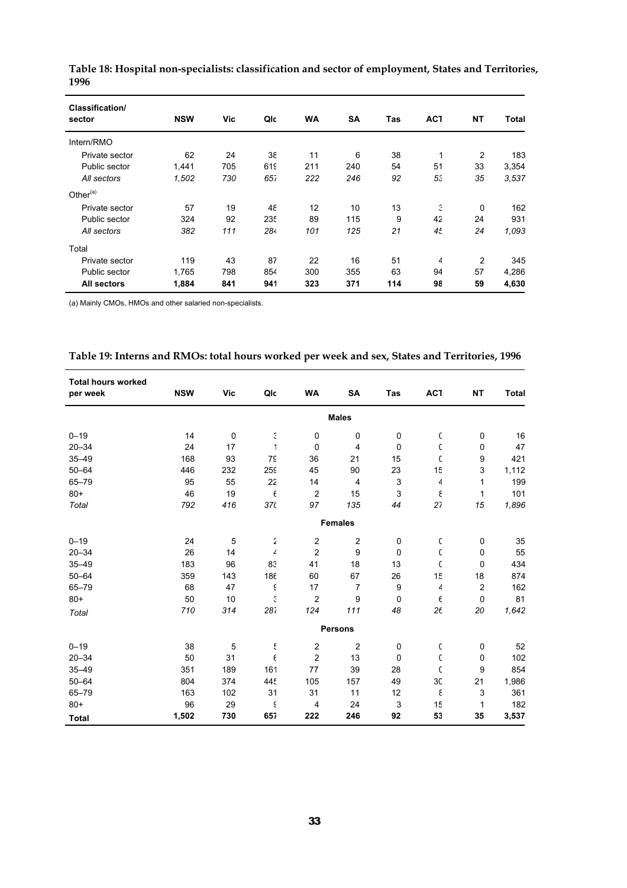| Classification/      |            |     |     |           |           |     |                 |                |       |
|----------------------|------------|-----|-----|-----------|-----------|-----|-----------------|----------------|-------|
| sector               | <b>NSW</b> | Vic | Qlc | <b>WA</b> | <b>SA</b> | Tas | AC <sub>1</sub> | <b>NT</b>      | Total |
| Intern/RMO           |            |     |     |           |           |     |                 |                |       |
| Private sector       | 62         | 24  | 38  | 11        | 6         | 38  | 1               | $\overline{2}$ | 183   |
| Public sector        | 1,441      | 705 | 619 | 211       | 240       | 54  | 51              | 33             | 3,354 |
| All sectors          | 1,502      | 730 | 657 | 222       | 246       | 92  | 53              | 35             | 3.537 |
| Other <sup>(a)</sup> |            |     |     |           |           |     |                 |                |       |
| Private sector       | 57         | 19  | 48  | 12        | 10        | 13  | E.              | $\mathbf 0$    | 162   |
| Public sector        | 324        | 92  | 235 | 89        | 115       | 9   | 42              | 24             | 931   |
| All sectors          | 382        | 111 | 284 | 101       | 125       | 21  | 4Ł              | 24             | 1,093 |
| Total                |            |     |     |           |           |     |                 |                |       |
| Private sector       | 119        | 43  | 87  | 22        | 16        | 51  | 4               | 2              | 345   |
| Public sector        | 1.765      | 798 | 854 | 300       | 355       | 63  | 94              | 57             | 4,286 |
| All sectors          | 1,884      | 841 | 941 | 323       | 371       | 114 | 98              | 59             | 4,630 |

**Table 18: Hospital non-specialists: classification and sector of employment, States and Territories, 1996**

(a) Mainly CMOs, HMOs and other salaried non-specialists.

| Table 19: Interns and RMOs: total hours worked per week and sex, States and Territories, 1996 |  |  |
|-----------------------------------------------------------------------------------------------|--|--|
|                                                                                               |  |  |

| <b>Total hours worked</b><br>per week | <b>NSW</b> | <b>Vic</b> | Qlc        | <b>WA</b>      | <b>SA</b>      | Tas         | AC <sub>1</sub> | <b>NT</b>      | <b>Total</b> |
|---------------------------------------|------------|------------|------------|----------------|----------------|-------------|-----------------|----------------|--------------|
|                                       |            |            |            |                | <b>Males</b>   |             |                 |                |              |
| $0 - 19$                              | 14         | 0          | E          | 0              | 0              | 0           | C               | 0              | 16           |
| $20 - 34$                             | 24         | 17         | 1          | $\mathbf 0$    | 4              | $\pmb{0}$   | C               | $\mathbf 0$    | 47           |
| $35 - 49$                             | 168        | 93         | <b>79</b>  | 36             | 21             | 15          | $\mathsf{C}$    | 9              | 421          |
| $50 - 64$                             | 446        | 232        | <b>259</b> | 45             | 90             | 23          | 15              | 3              | 1,112        |
| $65 - 79$                             | 95         | 55         | 22         | 14             | 4              | 3           | 4               | 1              | 199          |
| $80 +$                                | 46         | 19         | $\epsilon$ | $\overline{2}$ | 15             | 3           | ε               | $\mathbf{1}$   | 101          |
| Total                                 | 792        | 416        | 370        | 97             | 135            | 44          | 27              | 15             | 1,896        |
|                                       |            |            |            |                | <b>Females</b> |             |                 |                |              |
| $0 - 19$                              | 24         | 5          | ź          | $\overline{c}$ | $\overline{2}$ | 0           | C               | $\pmb{0}$      | 35           |
| $20 - 34$                             | 26         | 14         | 4          | $\overline{c}$ | 9              | 0           | $\mathsf{C}$    | $\mathbf 0$    | 55           |
| $35 - 49$                             | 183        | 96         | 83         | 41             | 18             | 13          | $\mathsf{C}$    | $\mathbf 0$    | 434          |
| $50 - 64$                             | 359        | 143        | 186        | 60             | 67             | 26          | 15              | 18             | 874          |
| $65 - 79$                             | 68         | 47         | ξ          | 17             | $\overline{7}$ | 9           | $\overline{4}$  | $\overline{c}$ | 162          |
| $80+$                                 | 50         | 10         | ć          | $\overline{2}$ | 9              | $\mathbf 0$ | $\epsilon$      | $\mathbf 0$    | 81           |
| Total                                 | 710        | 314        | 287        | 124            | 111            | 48          | 26              | 20             | 1,642        |
|                                       |            |            |            |                | <b>Persons</b> |             |                 |                |              |
| $0 - 19$                              | 38         | 5          | ť          | $\overline{2}$ | $\overline{2}$ | 0           | C               | 0              | 52           |
| $20 - 34$                             | 50         | 31         | $\epsilon$ | $\overline{c}$ | 13             | 0           | C               | $\mathbf 0$    | 102          |
| $35 - 49$                             | 351        | 189        | 161        | 77             | 39             | 28          | $\mathsf{C}$    | 9              | 854          |
| $50 - 64$                             | 804        | 374        | 445        | 105            | 157            | 49          | 3C              | 21             | 1,986        |
| $65 - 79$                             | 163        | 102        | 31         | 31             | 11             | 12          | ε               | 3              | 361          |
| $80+$                                 | 96         | 29         | ξ          | $\overline{4}$ | 24             | 3           | 15              | 1              | 182          |
| <b>Total</b>                          | 1,502      | 730        | 657        | 222            | 246            | 92          | 53              | 35             | 3,537        |